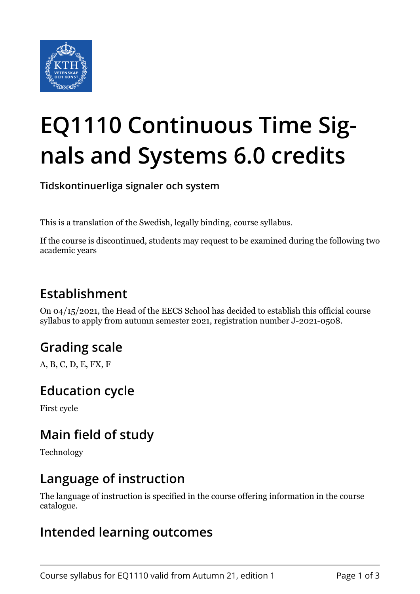

# **EQ1110 Continuous Time Signals and Systems 6.0 credits**

**Tidskontinuerliga signaler och system**

This is a translation of the Swedish, legally binding, course syllabus.

If the course is discontinued, students may request to be examined during the following two academic years

## **Establishment**

On 04/15/2021, the Head of the EECS School has decided to establish this official course syllabus to apply from autumn semester 2021, registration number J-2021-0508.

## **Grading scale**

A, B, C, D, E, FX, F

## **Education cycle**

First cycle

## **Main field of study**

Technology

#### **Language of instruction**

The language of instruction is specified in the course offering information in the course catalogue.

#### **Intended learning outcomes**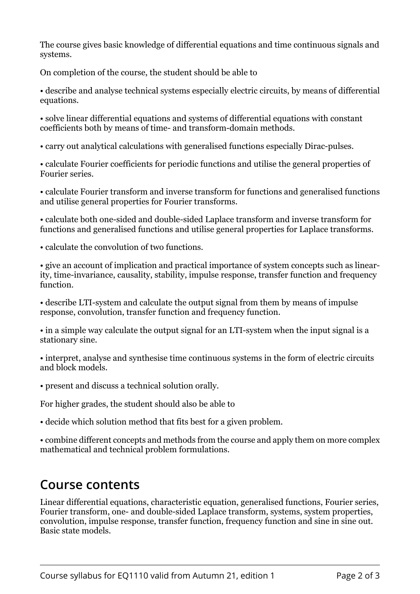The course gives basic knowledge of differential equations and time continuous signals and systems.

On completion of the course, the student should be able to

• describe and analyse technical systems especially electric circuits, by means of differential equations.

• solve linear differential equations and systems of differential equations with constant coefficients both by means of time- and transform-domain methods.

• carry out analytical calculations with generalised functions especially Dirac-pulses.

• calculate Fourier coefficients for periodic functions and utilise the general properties of Fourier series.

• calculate Fourier transform and inverse transform for functions and generalised functions and utilise general properties for Fourier transforms.

• calculate both one-sided and double-sided Laplace transform and inverse transform for functions and generalised functions and utilise general properties for Laplace transforms.

• calculate the convolution of two functions.

• give an account of implication and practical importance of system concepts such as linearity, time-invariance, causality, stability, impulse response, transfer function and frequency function.

• describe LTI-system and calculate the output signal from them by means of impulse response, convolution, transfer function and frequency function.

• in a simple way calculate the output signal for an LTI-system when the input signal is a stationary sine.

• interpret, analyse and synthesise time continuous systems in the form of electric circuits and block models.

• present and discuss a technical solution orally.

For higher grades, the student should also be able to

• decide which solution method that fits best for a given problem.

• combine different concepts and methods from the course and apply them on more complex mathematical and technical problem formulations.

## **Course contents**

Linear differential equations, characteristic equation, generalised functions, Fourier series, Fourier transform, one- and double-sided Laplace transform, systems, system properties, convolution, impulse response, transfer function, frequency function and sine in sine out. Basic state models.